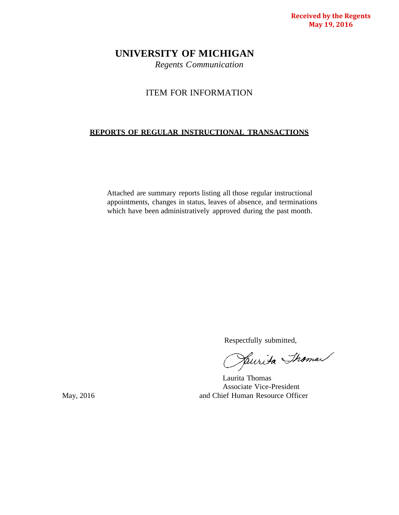**Received by the Regents May 19, 2016**

# **UNIVERSITY OF MICHIGAN**

*Regents Communication*

# ITEM FOR INFORMATION

# **REPORTS OF REGULAR INSTRUCTIONAL TRANSACTIONS**

Attached are summary reports listing all those regular instructional appointments, changes in status, leaves of absence, and terminations which have been administratively approved during the past month.

Respectfully submitted,<br>Julie Thomas

Laurita Thomas Associate Vice-President May, 2016 **and Chief Human Resource Officer**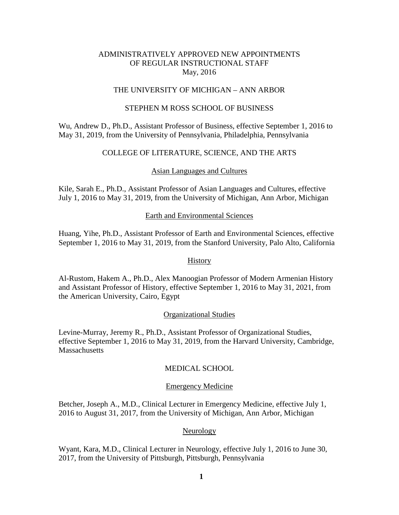# ADMINISTRATIVELY APPROVED NEW APPOINTMENTS OF REGULAR INSTRUCTIONAL STAFF May, 2016

## THE UNIVERSITY OF MICHIGAN – ANN ARBOR

#### STEPHEN M ROSS SCHOOL OF BUSINESS

Wu, Andrew D., Ph.D., Assistant Professor of Business, effective September 1, 2016 to May 31, 2019, from the University of Pennsylvania, Philadelphia, Pennsylvania

#### COLLEGE OF LITERATURE, SCIENCE, AND THE ARTS

#### Asian Languages and Cultures

Kile, Sarah E., Ph.D., Assistant Professor of Asian Languages and Cultures, effective July 1, 2016 to May 31, 2019, from the University of Michigan, Ann Arbor, Michigan

#### Earth and Environmental Sciences

Huang, Yihe, Ph.D., Assistant Professor of Earth and Environmental Sciences, effective September 1, 2016 to May 31, 2019, from the Stanford University, Palo Alto, California

#### **History**

Al-Rustom, Hakem A., Ph.D., Alex Manoogian Professor of Modern Armenian History and Assistant Professor of History, effective September 1, 2016 to May 31, 2021, from the American University, Cairo, Egypt

#### Organizational Studies

Levine-Murray, Jeremy R., Ph.D., Assistant Professor of Organizational Studies, effective September 1, 2016 to May 31, 2019, from the Harvard University, Cambridge, **Massachusetts** 

#### MEDICAL SCHOOL

#### Emergency Medicine

Betcher, Joseph A., M.D., Clinical Lecturer in Emergency Medicine, effective July 1, 2016 to August 31, 2017, from the University of Michigan, Ann Arbor, Michigan

#### Neurology

Wyant, Kara, M.D., Clinical Lecturer in Neurology, effective July 1, 2016 to June 30, 2017, from the University of Pittsburgh, Pittsburgh, Pennsylvania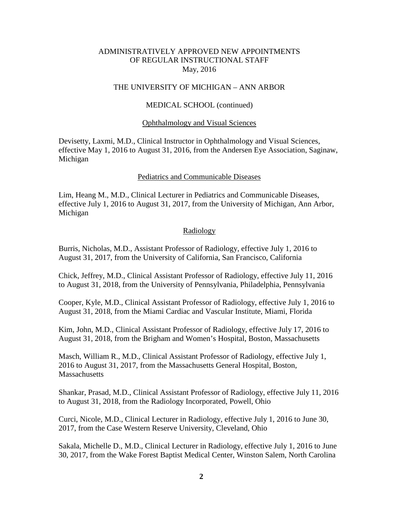### ADMINISTRATIVELY APPROVED NEW APPOINTMENTS OF REGULAR INSTRUCTIONAL STAFF May, 2016

#### THE UNIVERSITY OF MICHIGAN – ANN ARBOR

#### MEDICAL SCHOOL (continued)

#### Ophthalmology and Visual Sciences

Devisetty, Laxmi, M.D., Clinical Instructor in Ophthalmology and Visual Sciences, effective May 1, 2016 to August 31, 2016, from the Andersen Eye Association, Saginaw, Michigan

#### Pediatrics and Communicable Diseases

Lim, Heang M., M.D., Clinical Lecturer in Pediatrics and Communicable Diseases, effective July 1, 2016 to August 31, 2017, from the University of Michigan, Ann Arbor, Michigan

#### Radiology

Burris, Nicholas, M.D., Assistant Professor of Radiology, effective July 1, 2016 to August 31, 2017, from the University of California, San Francisco, California

Chick, Jeffrey, M.D., Clinical Assistant Professor of Radiology, effective July 11, 2016 to August 31, 2018, from the University of Pennsylvania, Philadelphia, Pennsylvania

Cooper, Kyle, M.D., Clinical Assistant Professor of Radiology, effective July 1, 2016 to August 31, 2018, from the Miami Cardiac and Vascular Institute, Miami, Florida

Kim, John, M.D., Clinical Assistant Professor of Radiology, effective July 17, 2016 to August 31, 2018, from the Brigham and Women's Hospital, Boston, Massachusetts

Masch, William R., M.D., Clinical Assistant Professor of Radiology, effective July 1, 2016 to August 31, 2017, from the Massachusetts General Hospital, Boston, **Massachusetts** 

Shankar, Prasad, M.D., Clinical Assistant Professor of Radiology, effective July 11, 2016 to August 31, 2018, from the Radiology Incorporated, Powell, Ohio

Curci, Nicole, M.D., Clinical Lecturer in Radiology, effective July 1, 2016 to June 30, 2017, from the Case Western Reserve University, Cleveland, Ohio

Sakala, Michelle D., M.D., Clinical Lecturer in Radiology, effective July 1, 2016 to June 30, 2017, from the Wake Forest Baptist Medical Center, Winston Salem, North Carolina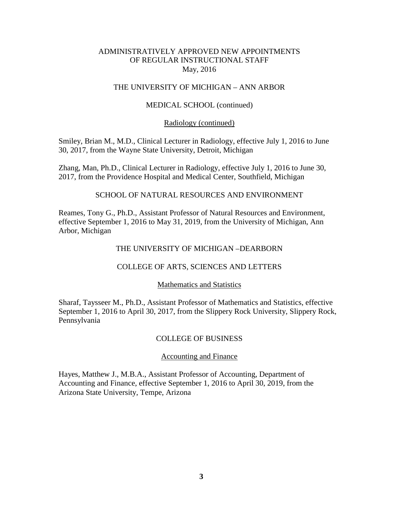## ADMINISTRATIVELY APPROVED NEW APPOINTMENTS OF REGULAR INSTRUCTIONAL STAFF May, 2016

## THE UNIVERSITY OF MICHIGAN – ANN ARBOR

### MEDICAL SCHOOL (continued)

#### Radiology (continued)

Smiley, Brian M., M.D., Clinical Lecturer in Radiology, effective July 1, 2016 to June 30, 2017, from the Wayne State University, Detroit, Michigan

Zhang, Man, Ph.D., Clinical Lecturer in Radiology, effective July 1, 2016 to June 30, 2017, from the Providence Hospital and Medical Center, Southfield, Michigan

### SCHOOL OF NATURAL RESOURCES AND ENVIRONMENT

Reames, Tony G., Ph.D., Assistant Professor of Natural Resources and Environment, effective September 1, 2016 to May 31, 2019, from the University of Michigan, Ann Arbor, Michigan

#### THE UNIVERSITY OF MICHIGAN –DEARBORN

#### COLLEGE OF ARTS, SCIENCES AND LETTERS

#### Mathematics and Statistics

Sharaf, Taysseer M., Ph.D., Assistant Professor of Mathematics and Statistics, effective September 1, 2016 to April 30, 2017, from the Slippery Rock University, Slippery Rock, Pennsylvania

#### COLLEGE OF BUSINESS

#### Accounting and Finance

Hayes, Matthew J., M.B.A., Assistant Professor of Accounting, Department of Accounting and Finance, effective September 1, 2016 to April 30, 2019, from the Arizona State University, Tempe, Arizona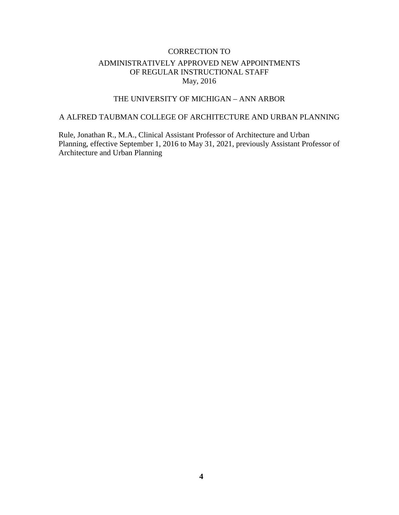# CORRECTION TO ADMINISTRATIVELY APPROVED NEW APPOINTMENTS OF REGULAR INSTRUCTIONAL STAFF May, 2016

# THE UNIVERSITY OF MICHIGAN – ANN ARBOR

# A ALFRED TAUBMAN COLLEGE OF ARCHITECTURE AND URBAN PLANNING

Rule, Jonathan R., M.A., Clinical Assistant Professor of Architecture and Urban Planning, effective September 1, 2016 to May 31, 2021, previously Assistant Professor of Architecture and Urban Planning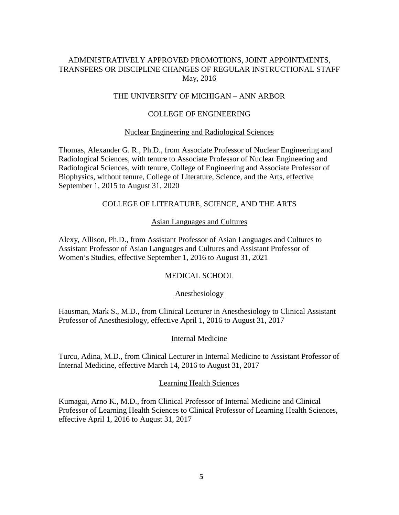# ADMINISTRATIVELY APPROVED PROMOTIONS, JOINT APPOINTMENTS, TRANSFERS OR DISCIPLINE CHANGES OF REGULAR INSTRUCTIONAL STAFF May, 2016

## THE UNIVERSITY OF MICHIGAN – ANN ARBOR

## COLLEGE OF ENGINEERING

#### Nuclear Engineering and Radiological Sciences

Thomas, Alexander G. R., Ph.D., from Associate Professor of Nuclear Engineering and Radiological Sciences, with tenure to Associate Professor of Nuclear Engineering and Radiological Sciences, with tenure, College of Engineering and Associate Professor of Biophysics, without tenure, College of Literature, Science, and the Arts, effective September 1, 2015 to August 31, 2020

# COLLEGE OF LITERATURE, SCIENCE, AND THE ARTS

#### Asian Languages and Cultures

Alexy, Allison, Ph.D., from Assistant Professor of Asian Languages and Cultures to Assistant Professor of Asian Languages and Cultures and Assistant Professor of Women's Studies, effective September 1, 2016 to August 31, 2021

## MEDICAL SCHOOL

#### Anesthesiology

Hausman, Mark S., M.D., from Clinical Lecturer in Anesthesiology to Clinical Assistant Professor of Anesthesiology, effective April 1, 2016 to August 31, 2017

#### Internal Medicine

Turcu, Adina, M.D., from Clinical Lecturer in Internal Medicine to Assistant Professor of Internal Medicine, effective March 14, 2016 to August 31, 2017

#### Learning Health Sciences

Kumagai, Arno K., M.D., from Clinical Professor of Internal Medicine and Clinical Professor of Learning Health Sciences to Clinical Professor of Learning Health Sciences, effective April 1, 2016 to August 31, 2017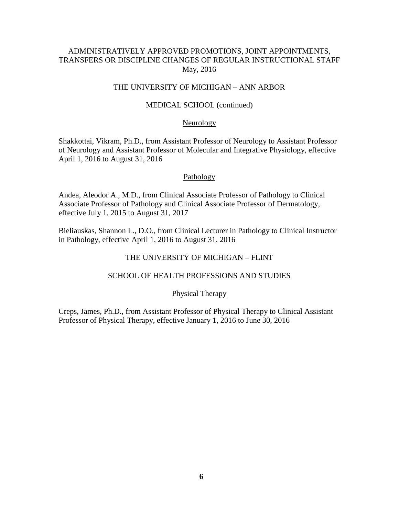# ADMINISTRATIVELY APPROVED PROMOTIONS, JOINT APPOINTMENTS, TRANSFERS OR DISCIPLINE CHANGES OF REGULAR INSTRUCTIONAL STAFF May, 2016

## THE UNIVERSITY OF MICHIGAN – ANN ARBOR

### MEDICAL SCHOOL (continued)

#### **Neurology**

Shakkottai, Vikram, Ph.D., from Assistant Professor of Neurology to Assistant Professor of Neurology and Assistant Professor of Molecular and Integrative Physiology, effective April 1, 2016 to August 31, 2016

### **Pathology**

Andea, Aleodor A., M.D., from Clinical Associate Professor of Pathology to Clinical Associate Professor of Pathology and Clinical Associate Professor of Dermatology, effective July 1, 2015 to August 31, 2017

Bieliauskas, Shannon L., D.O., from Clinical Lecturer in Pathology to Clinical Instructor in Pathology, effective April 1, 2016 to August 31, 2016

## THE UNIVERSITY OF MICHIGAN – FLINT

# SCHOOL OF HEALTH PROFESSIONS AND STUDIES

#### Physical Therapy

Creps, James, Ph.D., from Assistant Professor of Physical Therapy to Clinical Assistant Professor of Physical Therapy, effective January 1, 2016 to June 30, 2016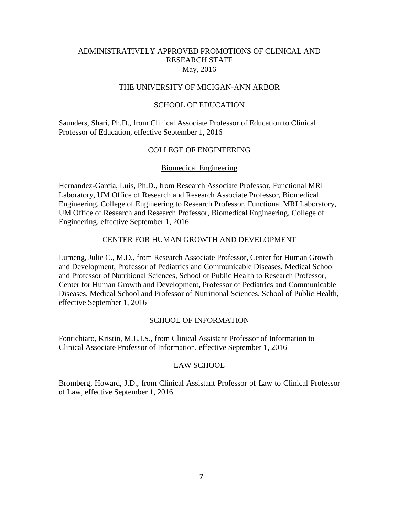### THE UNIVERSITY OF MICIGAN-ANN ARBOR

#### SCHOOL OF EDUCATION

Saunders, Shari, Ph.D., from Clinical Associate Professor of Education to Clinical Professor of Education, effective September 1, 2016

# COLLEGE OF ENGINEERING

#### Biomedical Engineering

Hernandez-Garcia, Luis, Ph.D., from Research Associate Professor, Functional MRI Laboratory, UM Office of Research and Research Associate Professor, Biomedical Engineering, College of Engineering to Research Professor, Functional MRI Laboratory, UM Office of Research and Research Professor, Biomedical Engineering, College of Engineering, effective September 1, 2016

## CENTER FOR HUMAN GROWTH AND DEVELOPMENT

Lumeng, Julie C., M.D., from Research Associate Professor, Center for Human Growth and Development, Professor of Pediatrics and Communicable Diseases, Medical School and Professor of Nutritional Sciences, School of Public Health to Research Professor, Center for Human Growth and Development, Professor of Pediatrics and Communicable Diseases, Medical School and Professor of Nutritional Sciences, School of Public Health, effective September 1, 2016

#### SCHOOL OF INFORMATION

Fontichiaro, Kristin, M.L.I.S., from Clinical Assistant Professor of Information to Clinical Associate Professor of Information, effective September 1, 2016

#### LAW SCHOOL

Bromberg, Howard, J.D., from Clinical Assistant Professor of Law to Clinical Professor of Law, effective September 1, 2016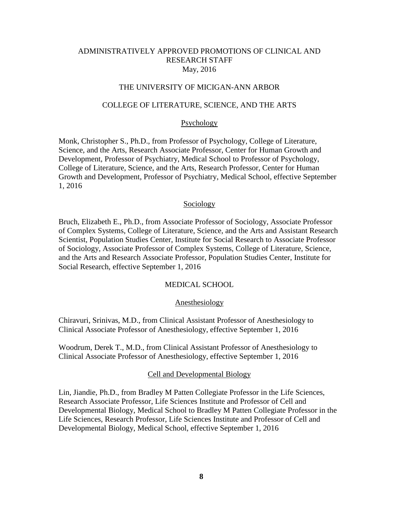#### THE UNIVERSITY OF MICIGAN-ANN ARBOR

#### COLLEGE OF LITERATURE, SCIENCE, AND THE ARTS

#### Psychology

Monk, Christopher S., Ph.D., from Professor of Psychology, College of Literature, Science, and the Arts, Research Associate Professor, Center for Human Growth and Development, Professor of Psychiatry, Medical School to Professor of Psychology, College of Literature, Science, and the Arts, Research Professor, Center for Human Growth and Development, Professor of Psychiatry, Medical School, effective September 1, 2016

#### Sociology

Bruch, Elizabeth E., Ph.D., from Associate Professor of Sociology, Associate Professor of Complex Systems, College of Literature, Science, and the Arts and Assistant Research Scientist, Population Studies Center, Institute for Social Research to Associate Professor of Sociology, Associate Professor of Complex Systems, College of Literature, Science, and the Arts and Research Associate Professor, Population Studies Center, Institute for Social Research, effective September 1, 2016

#### MEDICAL SCHOOL

#### Anesthesiology

Chiravuri, Srinivas, M.D., from Clinical Assistant Professor of Anesthesiology to Clinical Associate Professor of Anesthesiology, effective September 1, 2016

Woodrum, Derek T., M.D., from Clinical Assistant Professor of Anesthesiology to Clinical Associate Professor of Anesthesiology, effective September 1, 2016

#### Cell and Developmental Biology

Lin, Jiandie, Ph.D., from Bradley M Patten Collegiate Professor in the Life Sciences, Research Associate Professor, Life Sciences Institute and Professor of Cell and Developmental Biology, Medical School to Bradley M Patten Collegiate Professor in the Life Sciences, Research Professor, Life Sciences Institute and Professor of Cell and Developmental Biology, Medical School, effective September 1, 2016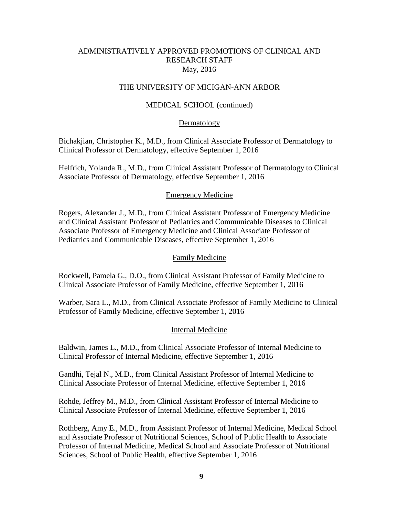#### THE UNIVERSITY OF MICIGAN-ANN ARBOR

#### MEDICAL SCHOOL (continued)

#### Dermatology

Bichakjian, Christopher K., M.D., from Clinical Associate Professor of Dermatology to Clinical Professor of Dermatology, effective September 1, 2016

Helfrich, Yolanda R., M.D., from Clinical Assistant Professor of Dermatology to Clinical Associate Professor of Dermatology, effective September 1, 2016

#### Emergency Medicine

Rogers, Alexander J., M.D., from Clinical Assistant Professor of Emergency Medicine and Clinical Assistant Professor of Pediatrics and Communicable Diseases to Clinical Associate Professor of Emergency Medicine and Clinical Associate Professor of Pediatrics and Communicable Diseases, effective September 1, 2016

#### Family Medicine

Rockwell, Pamela G., D.O., from Clinical Assistant Professor of Family Medicine to Clinical Associate Professor of Family Medicine, effective September 1, 2016

Warber, Sara L., M.D., from Clinical Associate Professor of Family Medicine to Clinical Professor of Family Medicine, effective September 1, 2016

#### Internal Medicine

Baldwin, James L., M.D., from Clinical Associate Professor of Internal Medicine to Clinical Professor of Internal Medicine, effective September 1, 2016

Gandhi, Tejal N., M.D., from Clinical Assistant Professor of Internal Medicine to Clinical Associate Professor of Internal Medicine, effective September 1, 2016

Rohde, Jeffrey M., M.D., from Clinical Assistant Professor of Internal Medicine to Clinical Associate Professor of Internal Medicine, effective September 1, 2016

Rothberg, Amy E., M.D., from Assistant Professor of Internal Medicine, Medical School and Associate Professor of Nutritional Sciences, School of Public Health to Associate Professor of Internal Medicine, Medical School and Associate Professor of Nutritional Sciences, School of Public Health, effective September 1, 2016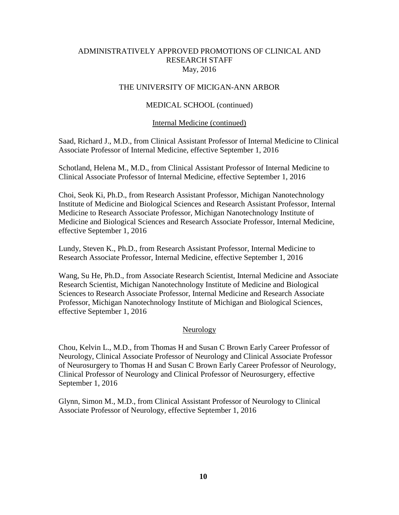# THE UNIVERSITY OF MICIGAN-ANN ARBOR

# MEDICAL SCHOOL (continued)

## Internal Medicine (continued)

Saad, Richard J., M.D., from Clinical Assistant Professor of Internal Medicine to Clinical Associate Professor of Internal Medicine, effective September 1, 2016

Schotland, Helena M., M.D., from Clinical Assistant Professor of Internal Medicine to Clinical Associate Professor of Internal Medicine, effective September 1, 2016

Choi, Seok Ki, Ph.D., from Research Assistant Professor, Michigan Nanotechnology Institute of Medicine and Biological Sciences and Research Assistant Professor, Internal Medicine to Research Associate Professor, Michigan Nanotechnology Institute of Medicine and Biological Sciences and Research Associate Professor, Internal Medicine, effective September 1, 2016

Lundy, Steven K., Ph.D., from Research Assistant Professor, Internal Medicine to Research Associate Professor, Internal Medicine, effective September 1, 2016

Wang, Su He, Ph.D., from Associate Research Scientist, Internal Medicine and Associate Research Scientist, Michigan Nanotechnology Institute of Medicine and Biological Sciences to Research Associate Professor, Internal Medicine and Research Associate Professor, Michigan Nanotechnology Institute of Michigan and Biological Sciences, effective September 1, 2016

# **Neurology**

Chou, Kelvin L., M.D., from Thomas H and Susan C Brown Early Career Professor of Neurology, Clinical Associate Professor of Neurology and Clinical Associate Professor of Neurosurgery to Thomas H and Susan C Brown Early Career Professor of Neurology, Clinical Professor of Neurology and Clinical Professor of Neurosurgery, effective September 1, 2016

Glynn, Simon M., M.D., from Clinical Assistant Professor of Neurology to Clinical Associate Professor of Neurology, effective September 1, 2016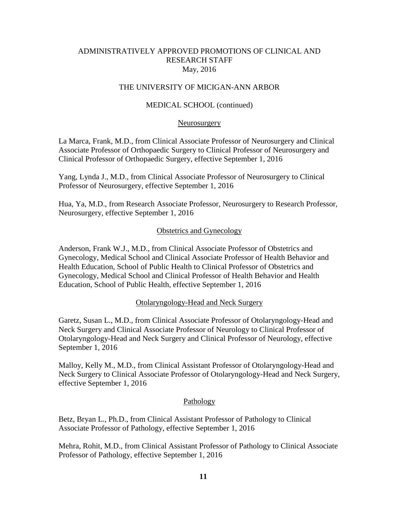# THE UNIVERSITY OF MICIGAN-ANN ARBOR

## MEDICAL SCHOOL (continued)

#### Neurosurgery

La Marca, Frank, M.D., from Clinical Associate Professor of Neurosurgery and Clinical Associate Professor of Orthopaedic Surgery to Clinical Professor of Neurosurgery and Clinical Professor of Orthopaedic Surgery, effective September 1, 2016

Yang, Lynda J., M.D., from Clinical Associate Professor of Neurosurgery to Clinical Professor of Neurosurgery, effective September 1, 2016

Hua, Ya, M.D., from Research Associate Professor, Neurosurgery to Research Professor, Neurosurgery, effective September 1, 2016

### Obstetrics and Gynecology

Anderson, Frank W.J., M.D., from Clinical Associate Professor of Obstetrics and Gynecology, Medical School and Clinical Associate Professor of Health Behavior and Health Education, School of Public Health to Clinical Professor of Obstetrics and Gynecology, Medical School and Clinical Professor of Health Behavior and Health Education, School of Public Health, effective September 1, 2016

#### Otolaryngology-Head and Neck Surgery

Garetz, Susan L., M.D., from Clinical Associate Professor of Otolaryngology-Head and Neck Surgery and Clinical Associate Professor of Neurology to Clinical Professor of Otolaryngology-Head and Neck Surgery and Clinical Professor of Neurology, effective September 1, 2016

Malloy, Kelly M., M.D., from Clinical Assistant Professor of Otolaryngology-Head and Neck Surgery to Clinical Associate Professor of Otolaryngology-Head and Neck Surgery, effective September 1, 2016

#### Pathology

Betz, Bryan L., Ph.D., from Clinical Assistant Professor of Pathology to Clinical Associate Professor of Pathology, effective September 1, 2016

Mehra, Rohit, M.D., from Clinical Assistant Professor of Pathology to Clinical Associate Professor of Pathology, effective September 1, 2016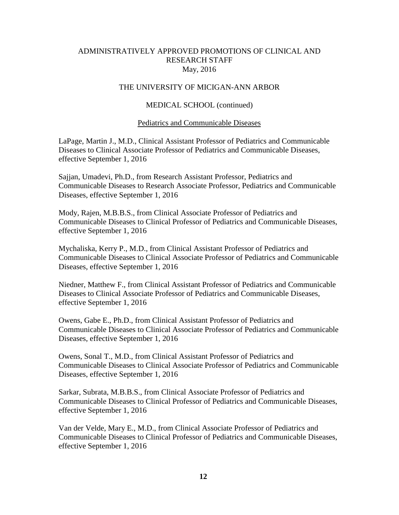### THE UNIVERSITY OF MICIGAN-ANN ARBOR

#### MEDICAL SCHOOL (continued)

#### Pediatrics and Communicable Diseases

LaPage, Martin J., M.D., Clinical Assistant Professor of Pediatrics and Communicable Diseases to Clinical Associate Professor of Pediatrics and Communicable Diseases, effective September 1, 2016

Sajjan, Umadevi, Ph.D., from Research Assistant Professor, Pediatrics and Communicable Diseases to Research Associate Professor, Pediatrics and Communicable Diseases, effective September 1, 2016

Mody, Rajen, M.B.B.S., from Clinical Associate Professor of Pediatrics and Communicable Diseases to Clinical Professor of Pediatrics and Communicable Diseases, effective September 1, 2016

Mychaliska, Kerry P., M.D., from Clinical Assistant Professor of Pediatrics and Communicable Diseases to Clinical Associate Professor of Pediatrics and Communicable Diseases, effective September 1, 2016

Niedner, Matthew F., from Clinical Assistant Professor of Pediatrics and Communicable Diseases to Clinical Associate Professor of Pediatrics and Communicable Diseases, effective September 1, 2016

Owens, Gabe E., Ph.D., from Clinical Assistant Professor of Pediatrics and Communicable Diseases to Clinical Associate Professor of Pediatrics and Communicable Diseases, effective September 1, 2016

Owens, Sonal T., M.D., from Clinical Assistant Professor of Pediatrics and Communicable Diseases to Clinical Associate Professor of Pediatrics and Communicable Diseases, effective September 1, 2016

Sarkar, Subrata, M.B.B.S., from Clinical Associate Professor of Pediatrics and Communicable Diseases to Clinical Professor of Pediatrics and Communicable Diseases, effective September 1, 2016

Van der Velde, Mary E., M.D., from Clinical Associate Professor of Pediatrics and Communicable Diseases to Clinical Professor of Pediatrics and Communicable Diseases, effective September 1, 2016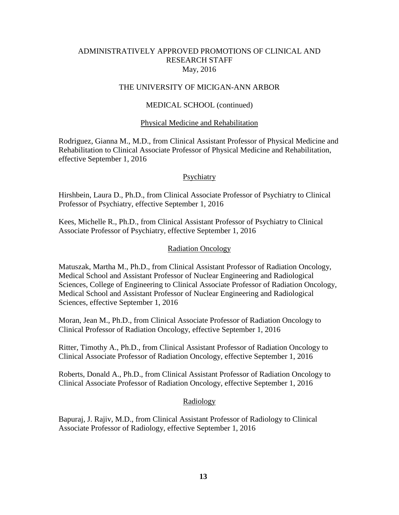### THE UNIVERSITY OF MICIGAN-ANN ARBOR

#### MEDICAL SCHOOL (continued)

#### Physical Medicine and Rehabilitation

Rodriguez, Gianna M., M.D., from Clinical Assistant Professor of Physical Medicine and Rehabilitation to Clinical Associate Professor of Physical Medicine and Rehabilitation, effective September 1, 2016

## **Psychiatry**

Hirshbein, Laura D., Ph.D., from Clinical Associate Professor of Psychiatry to Clinical Professor of Psychiatry, effective September 1, 2016

Kees, Michelle R., Ph.D., from Clinical Assistant Professor of Psychiatry to Clinical Associate Professor of Psychiatry, effective September 1, 2016

#### Radiation Oncology

Matuszak, Martha M., Ph.D., from Clinical Assistant Professor of Radiation Oncology, Medical School and Assistant Professor of Nuclear Engineering and Radiological Sciences, College of Engineering to Clinical Associate Professor of Radiation Oncology, Medical School and Assistant Professor of Nuclear Engineering and Radiological Sciences, effective September 1, 2016

Moran, Jean M., Ph.D., from Clinical Associate Professor of Radiation Oncology to Clinical Professor of Radiation Oncology, effective September 1, 2016

Ritter, Timothy A., Ph.D., from Clinical Assistant Professor of Radiation Oncology to Clinical Associate Professor of Radiation Oncology, effective September 1, 2016

Roberts, Donald A., Ph.D., from Clinical Assistant Professor of Radiation Oncology to Clinical Associate Professor of Radiation Oncology, effective September 1, 2016

#### Radiology

Bapuraj, J. Rajiv, M.D., from Clinical Assistant Professor of Radiology to Clinical Associate Professor of Radiology, effective September 1, 2016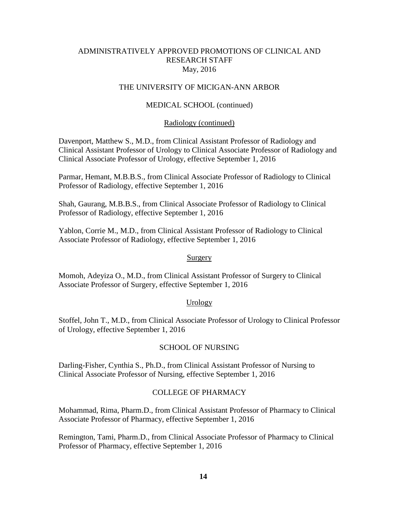#### THE UNIVERSITY OF MICIGAN-ANN ARBOR

#### MEDICAL SCHOOL (continued)

#### Radiology (continued)

Davenport, Matthew S., M.D., from Clinical Assistant Professor of Radiology and Clinical Assistant Professor of Urology to Clinical Associate Professor of Radiology and Clinical Associate Professor of Urology, effective September 1, 2016

Parmar, Hemant, M.B.B.S., from Clinical Associate Professor of Radiology to Clinical Professor of Radiology, effective September 1, 2016

Shah, Gaurang, M.B.B.S., from Clinical Associate Professor of Radiology to Clinical Professor of Radiology, effective September 1, 2016

Yablon, Corrie M., M.D., from Clinical Assistant Professor of Radiology to Clinical Associate Professor of Radiology, effective September 1, 2016

#### Surgery

Momoh, Adeyiza O., M.D., from Clinical Assistant Professor of Surgery to Clinical Associate Professor of Surgery, effective September 1, 2016

#### **Urology**

Stoffel, John T., M.D., from Clinical Associate Professor of Urology to Clinical Professor of Urology, effective September 1, 2016

#### SCHOOL OF NURSING

Darling-Fisher, Cynthia S., Ph.D., from Clinical Assistant Professor of Nursing to Clinical Associate Professor of Nursing, effective September 1, 2016

#### COLLEGE OF PHARMACY

Mohammad, Rima, Pharm.D., from Clinical Assistant Professor of Pharmacy to Clinical Associate Professor of Pharmacy, effective September 1, 2016

Remington, Tami, Pharm.D., from Clinical Associate Professor of Pharmacy to Clinical Professor of Pharmacy, effective September 1, 2016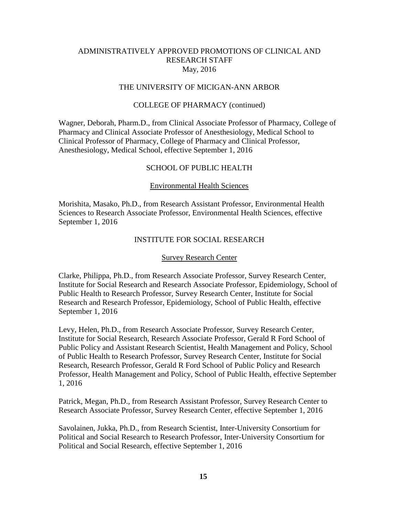#### THE UNIVERSITY OF MICIGAN-ANN ARBOR

#### COLLEGE OF PHARMACY (continued)

Wagner, Deborah, Pharm.D., from Clinical Associate Professor of Pharmacy, College of Pharmacy and Clinical Associate Professor of Anesthesiology, Medical School to Clinical Professor of Pharmacy, College of Pharmacy and Clinical Professor, Anesthesiology, Medical School, effective September 1, 2016

#### SCHOOL OF PUBLIC HEALTH

#### Environmental Health Sciences

Morishita, Masako, Ph.D., from Research Assistant Professor, Environmental Health Sciences to Research Associate Professor, Environmental Health Sciences, effective September 1, 2016

### INSTITUTE FOR SOCIAL RESEARCH

#### Survey Research Center

Clarke, Philippa, Ph.D., from Research Associate Professor, Survey Research Center, Institute for Social Research and Research Associate Professor, Epidemiology, School of Public Health to Research Professor, Survey Research Center, Institute for Social Research and Research Professor, Epidemiology, School of Public Health, effective September 1, 2016

Levy, Helen, Ph.D., from Research Associate Professor, Survey Research Center, Institute for Social Research, Research Associate Professor, Gerald R Ford School of Public Policy and Assistant Research Scientist, Health Management and Policy, School of Public Health to Research Professor, Survey Research Center, Institute for Social Research, Research Professor, Gerald R Ford School of Public Policy and Research Professor, Health Management and Policy, School of Public Health, effective September 1, 2016

Patrick, Megan, Ph.D., from Research Assistant Professor, Survey Research Center to Research Associate Professor, Survey Research Center, effective September 1, 2016

Savolainen, Jukka, Ph.D., from Research Scientist, Inter-University Consortium for Political and Social Research to Research Professor, Inter-University Consortium for Political and Social Research, effective September 1, 2016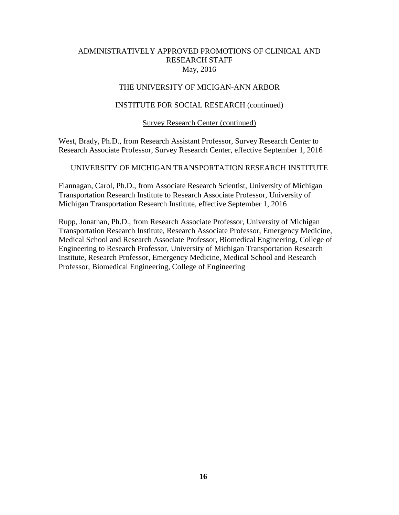# THE UNIVERSITY OF MICIGAN-ANN ARBOR

#### INSTITUTE FOR SOCIAL RESEARCH (continued)

#### Survey Research Center (continued)

West, Brady, Ph.D., from Research Assistant Professor, Survey Research Center to Research Associate Professor, Survey Research Center, effective September 1, 2016

### UNIVERSITY OF MICHIGAN TRANSPORTATION RESEARCH INSTITUTE

Flannagan, Carol, Ph.D., from Associate Research Scientist, University of Michigan Transportation Research Institute to Research Associate Professor, University of Michigan Transportation Research Institute, effective September 1, 2016

Rupp, Jonathan, Ph.D., from Research Associate Professor, University of Michigan Transportation Research Institute, Research Associate Professor, Emergency Medicine, Medical School and Research Associate Professor, Biomedical Engineering, College of Engineering to Research Professor, University of Michigan Transportation Research Institute, Research Professor, Emergency Medicine, Medical School and Research Professor, Biomedical Engineering, College of Engineering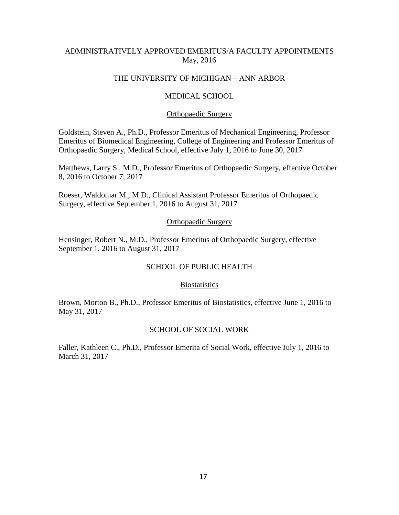# ADMINISTRATIVELY APPROVED EMERITUS/A FACULTY APPOINTMENTS May, 2016

## THE UNIVERSITY OF MICHIGAN – ANN ARBOR

#### MEDICAL SCHOOL

#### Orthopaedic Surgery

Goldstein, Steven A., Ph.D., Professor Emeritus of Mechanical Engineering, Professor Emeritus of Biomedical Engineering, College of Engineering and Professor Emeritus of Orthopaedic Surgery, Medical School, effective July 1, 2016 to June 30, 2017

Matthews, Larry S., M.D., Professor Emeritus of Orthopaedic Surgery, effective October 8, 2016 to October 7, 2017

Roeser, Waldomar M., M.D., Clinical Assistant Professor Emeritus of Orthopaedic Surgery, effective September 1, 2016 to August 31, 2017

#### Orthopaedic Surgery

Hensinger, Robert N., M.D., Professor Emeritus of Orthopaedic Surgery, effective September 1, 2016 to August 31, 2017

#### SCHOOL OF PUBLIC HEALTH

#### **Biostatistics**

Brown, Morton B., Ph.D., Professor Emeritus of Biostatistics, effective June 1, 2016 to May 31, 2017

#### SCHOOL OF SOCIAL WORK

Faller, Kathleen C., Ph.D., Professor Emerita of Social Work, effective July 1, 2016 to March 31, 2017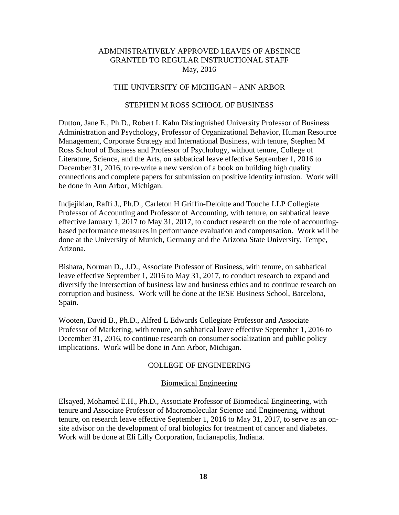#### THE UNIVERSITY OF MICHIGAN – ANN ARBOR

#### STEPHEN M ROSS SCHOOL OF BUSINESS

Dutton, Jane E., Ph.D., Robert L Kahn Distinguished University Professor of Business Administration and Psychology, Professor of Organizational Behavior, Human Resource Management, Corporate Strategy and International Business, with tenure, Stephen M Ross School of Business and Professor of Psychology, without tenure, College of Literature, Science, and the Arts, on sabbatical leave effective September 1, 2016 to December 31, 2016, to re-write a new version of a book on building high quality connections and complete papers for submission on positive identity infusion. Work will be done in Ann Arbor, Michigan.

Indjejikian, Raffi J., Ph.D., Carleton H Griffin-Deloitte and Touche LLP Collegiate Professor of Accounting and Professor of Accounting, with tenure, on sabbatical leave effective January 1, 2017 to May 31, 2017, to conduct research on the role of accountingbased performance measures in performance evaluation and compensation. Work will be done at the University of Munich, Germany and the Arizona State University, Tempe, Arizona.

Bishara, Norman D., J.D., Associate Professor of Business, with tenure, on sabbatical leave effective September 1, 2016 to May 31, 2017, to conduct research to expand and diversify the intersection of business law and business ethics and to continue research on corruption and business. Work will be done at the IESE Business School, Barcelona, Spain.

Wooten, David B., Ph.D., Alfred L Edwards Collegiate Professor and Associate Professor of Marketing, with tenure, on sabbatical leave effective September 1, 2016 to December 31, 2016, to continue research on consumer socialization and public policy implications. Work will be done in Ann Arbor, Michigan.

# COLLEGE OF ENGINEERING

#### Biomedical Engineering

Elsayed, Mohamed E.H., Ph.D., Associate Professor of Biomedical Engineering, with tenure and Associate Professor of Macromolecular Science and Engineering, without tenure, on research leave effective September 1, 2016 to May 31, 2017, to serve as an onsite advisor on the development of oral biologics for treatment of cancer and diabetes. Work will be done at Eli Lilly Corporation, Indianapolis, Indiana.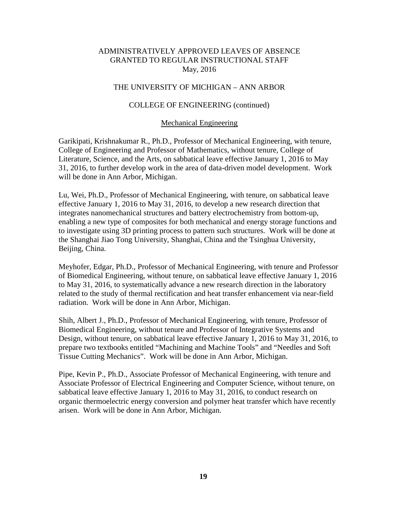### THE UNIVERSITY OF MICHIGAN – ANN ARBOR

#### COLLEGE OF ENGINEERING (continued)

#### Mechanical Engineering

Garikipati, Krishnakumar R., Ph.D., Professor of Mechanical Engineering, with tenure, College of Engineering and Professor of Mathematics, without tenure, College of Literature, Science, and the Arts, on sabbatical leave effective January 1, 2016 to May 31, 2016, to further develop work in the area of data-driven model development. Work will be done in Ann Arbor, Michigan.

Lu, Wei, Ph.D., Professor of Mechanical Engineering, with tenure, on sabbatical leave effective January 1, 2016 to May 31, 2016, to develop a new research direction that integrates nanomechanical structures and battery electrochemistry from bottom-up, enabling a new type of composites for both mechanical and energy storage functions and to investigate using 3D printing process to pattern such structures. Work will be done at the Shanghai Jiao Tong University, Shanghai, China and the Tsinghua University, Beijing, China.

Meyhofer, Edgar, Ph.D., Professor of Mechanical Engineering, with tenure and Professor of Biomedical Engineering, without tenure, on sabbatical leave effective January 1, 2016 to May 31, 2016, to systematically advance a new research direction in the laboratory related to the study of thermal rectification and heat transfer enhancement via near-field radiation. Work will be done in Ann Arbor, Michigan.

Shih, Albert J., Ph.D., Professor of Mechanical Engineering, with tenure, Professor of Biomedical Engineering, without tenure and Professor of Integrative Systems and Design, without tenure, on sabbatical leave effective January 1, 2016 to May 31, 2016, to prepare two textbooks entitled "Machining and Machine Tools" and "Needles and Soft Tissue Cutting Mechanics". Work will be done in Ann Arbor, Michigan.

Pipe, Kevin P., Ph.D., Associate Professor of Mechanical Engineering, with tenure and Associate Professor of Electrical Engineering and Computer Science, without tenure, on sabbatical leave effective January 1, 2016 to May 31, 2016, to conduct research on organic thermoelectric energy conversion and polymer heat transfer which have recently arisen. Work will be done in Ann Arbor, Michigan.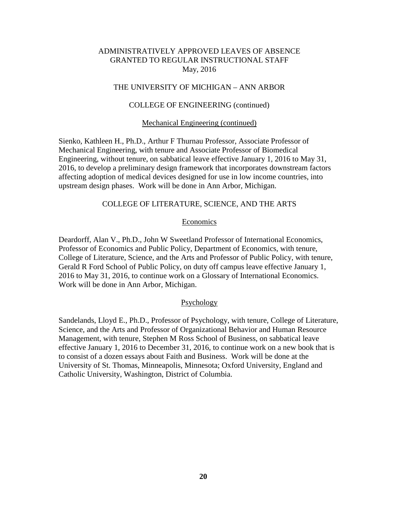#### THE UNIVERSITY OF MICHIGAN – ANN ARBOR

#### COLLEGE OF ENGINEERING (continued)

#### Mechanical Engineering (continued)

Sienko, Kathleen H., Ph.D., Arthur F Thurnau Professor, Associate Professor of Mechanical Engineering, with tenure and Associate Professor of Biomedical Engineering, without tenure, on sabbatical leave effective January 1, 2016 to May 31, 2016, to develop a preliminary design framework that incorporates downstream factors affecting adoption of medical devices designed for use in low income countries, into upstream design phases. Work will be done in Ann Arbor, Michigan.

### COLLEGE OF LITERATURE, SCIENCE, AND THE ARTS

#### **Economics**

Deardorff, Alan V., Ph.D., John W Sweetland Professor of International Economics, Professor of Economics and Public Policy, Department of Economics, with tenure, College of Literature, Science, and the Arts and Professor of Public Policy, with tenure, Gerald R Ford School of Public Policy, on duty off campus leave effective January 1, 2016 to May 31, 2016, to continue work on a Glossary of International Economics. Work will be done in Ann Arbor, Michigan.

#### **Psychology**

Sandelands, Lloyd E., Ph.D., Professor of Psychology, with tenure, College of Literature, Science, and the Arts and Professor of Organizational Behavior and Human Resource Management, with tenure, Stephen M Ross School of Business, on sabbatical leave effective January 1, 2016 to December 31, 2016, to continue work on a new book that is to consist of a dozen essays about Faith and Business. Work will be done at the University of St. Thomas, Minneapolis, Minnesota; Oxford University, England and Catholic University, Washington, District of Columbia.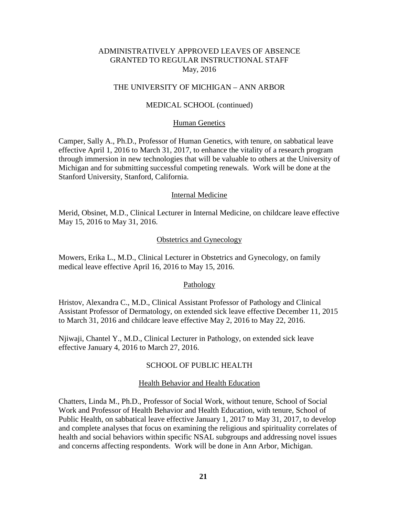#### THE UNIVERSITY OF MICHIGAN – ANN ARBOR

#### MEDICAL SCHOOL (continued)

#### Human Genetics

Camper, Sally A., Ph.D., Professor of Human Genetics, with tenure, on sabbatical leave effective April 1, 2016 to March 31, 2017, to enhance the vitality of a research program through immersion in new technologies that will be valuable to others at the University of Michigan and for submitting successful competing renewals. Work will be done at the Stanford University, Stanford, California.

#### Internal Medicine

Merid, Obsinet, M.D., Clinical Lecturer in Internal Medicine, on childcare leave effective May 15, 2016 to May 31, 2016.

#### Obstetrics and Gynecology

Mowers, Erika L., M.D., Clinical Lecturer in Obstetrics and Gynecology, on family medical leave effective April 16, 2016 to May 15, 2016.

#### Pathology

Hristov, Alexandra C., M.D., Clinical Assistant Professor of Pathology and Clinical Assistant Professor of Dermatology, on extended sick leave effective December 11, 2015 to March 31, 2016 and childcare leave effective May 2, 2016 to May 22, 2016.

Njiwaji, Chantel Y., M.D., Clinical Lecturer in Pathology, on extended sick leave effective January 4, 2016 to March 27, 2016.

#### SCHOOL OF PUBLIC HEALTH

#### Health Behavior and Health Education

Chatters, Linda M., Ph.D., Professor of Social Work, without tenure, School of Social Work and Professor of Health Behavior and Health Education, with tenure, School of Public Health, on sabbatical leave effective January 1, 2017 to May 31, 2017, to develop and complete analyses that focus on examining the religious and spirituality correlates of health and social behaviors within specific NSAL subgroups and addressing novel issues and concerns affecting respondents. Work will be done in Ann Arbor, Michigan.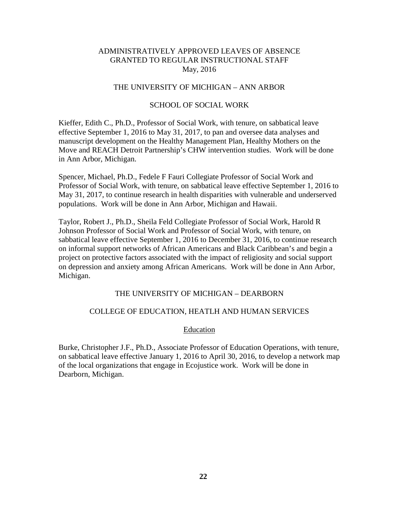## THE UNIVERSITY OF MICHIGAN – ANN ARBOR

## SCHOOL OF SOCIAL WORK

Kieffer, Edith C., Ph.D., Professor of Social Work, with tenure, on sabbatical leave effective September 1, 2016 to May 31, 2017, to pan and oversee data analyses and manuscript development on the Healthy Management Plan, Healthy Mothers on the Move and REACH Detroit Partnership's CHW intervention studies. Work will be done in Ann Arbor, Michigan.

Spencer, Michael, Ph.D., Fedele F Fauri Collegiate Professor of Social Work and Professor of Social Work, with tenure, on sabbatical leave effective September 1, 2016 to May 31, 2017, to continue research in health disparities with vulnerable and underserved populations. Work will be done in Ann Arbor, Michigan and Hawaii.

Taylor, Robert J., Ph.D., Sheila Feld Collegiate Professor of Social Work, Harold R Johnson Professor of Social Work and Professor of Social Work, with tenure, on sabbatical leave effective September 1, 2016 to December 31, 2016, to continue research on informal support networks of African Americans and Black Caribbean's and begin a project on protective factors associated with the impact of religiosity and social support on depression and anxiety among African Americans. Work will be done in Ann Arbor, Michigan.

### THE UNIVERSITY OF MICHIGAN – DEARBORN

#### COLLEGE OF EDUCATION, HEATLH AND HUMAN SERVICES

#### Education

Burke, Christopher J.F., Ph.D., Associate Professor of Education Operations, with tenure, on sabbatical leave effective January 1, 2016 to April 30, 2016, to develop a network map of the local organizations that engage in Ecojustice work. Work will be done in Dearborn, Michigan.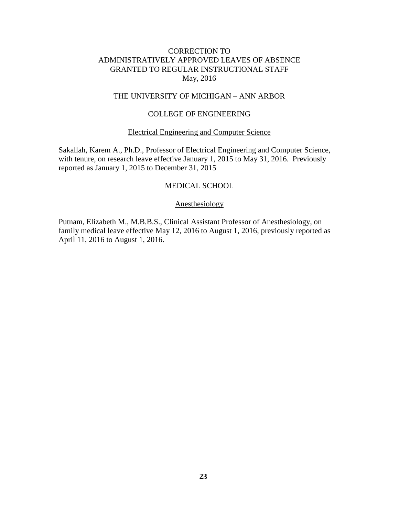# THE UNIVERSITY OF MICHIGAN – ANN ARBOR

#### COLLEGE OF ENGINEERING

### Electrical Engineering and Computer Science

Sakallah, Karem A., Ph.D., Professor of Electrical Engineering and Computer Science, with tenure, on research leave effective January 1, 2015 to May 31, 2016. Previously reported as January 1, 2015 to December 31, 2015

#### MEDICAL SCHOOL

### Anesthesiology

Putnam, Elizabeth M., M.B.B.S., Clinical Assistant Professor of Anesthesiology, on family medical leave effective May 12, 2016 to August 1, 2016, previously reported as April 11, 2016 to August 1, 2016.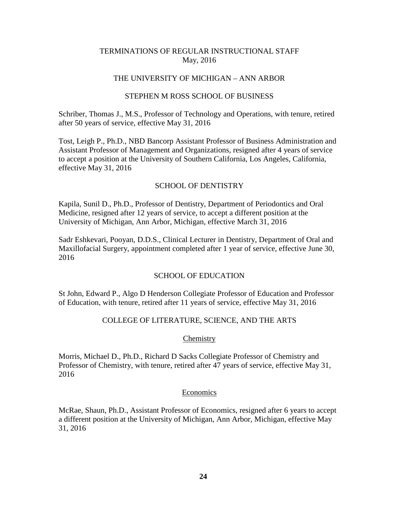### THE UNIVERSITY OF MICHIGAN – ANN ARBOR

#### STEPHEN M ROSS SCHOOL OF BUSINESS

Schriber, Thomas J., M.S., Professor of Technology and Operations, with tenure, retired after 50 years of service, effective May 31, 2016

Tost, Leigh P., Ph.D., NBD Bancorp Assistant Professor of Business Administration and Assistant Professor of Management and Organizations, resigned after 4 years of service to accept a position at the University of Southern California, Los Angeles, California, effective May 31, 2016

# SCHOOL OF DENTISTRY

Kapila, Sunil D., Ph.D., Professor of Dentistry, Department of Periodontics and Oral Medicine, resigned after 12 years of service, to accept a different position at the University of Michigan, Ann Arbor, Michigan, effective March 31, 2016

Sadr Eshkevari, Pooyan, D.D.S., Clinical Lecturer in Dentistry, Department of Oral and Maxillofacial Surgery, appointment completed after 1 year of service, effective June 30, 2016

# SCHOOL OF EDUCATION

St John, Edward P., Algo D Henderson Collegiate Professor of Education and Professor of Education, with tenure, retired after 11 years of service, effective May 31, 2016

# COLLEGE OF LITERATURE, SCIENCE, AND THE ARTS

#### **Chemistry**

Morris, Michael D., Ph.D., Richard D Sacks Collegiate Professor of Chemistry and Professor of Chemistry, with tenure, retired after 47 years of service, effective May 31, 2016

#### Economics

McRae, Shaun, Ph.D., Assistant Professor of Economics, resigned after 6 years to accept a different position at the University of Michigan, Ann Arbor, Michigan, effective May 31, 2016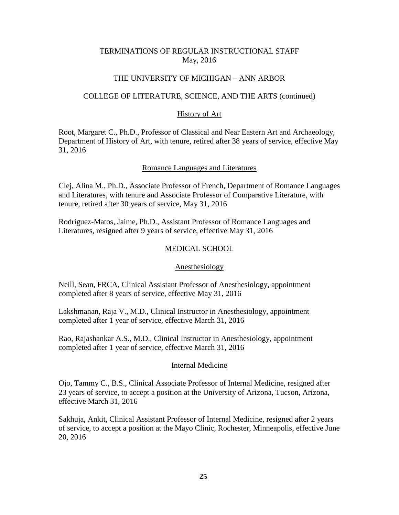### THE UNIVERSITY OF MICHIGAN – ANN ARBOR

#### COLLEGE OF LITERATURE, SCIENCE, AND THE ARTS (continued)

### History of Art

Root, Margaret C., Ph.D., Professor of Classical and Near Eastern Art and Archaeology, Department of History of Art, with tenure, retired after 38 years of service, effective May 31, 2016

#### Romance Languages and Literatures

Clej, Alina M., Ph.D., Associate Professor of French, Department of Romance Languages and Literatures, with tenure and Associate Professor of Comparative Literature, with tenure, retired after 30 years of service, May 31, 2016

Rodriguez-Matos, Jaime, Ph.D., Assistant Professor of Romance Languages and Literatures, resigned after 9 years of service, effective May 31, 2016

### MEDICAL SCHOOL

#### Anesthesiology

Neill, Sean, FRCA, Clinical Assistant Professor of Anesthesiology, appointment completed after 8 years of service, effective May 31, 2016

Lakshmanan, Raja V., M.D., Clinical Instructor in Anesthesiology, appointment completed after 1 year of service, effective March 31, 2016

Rao, Rajashankar A.S., M.D., Clinical Instructor in Anesthesiology, appointment completed after 1 year of service, effective March 31, 2016

#### Internal Medicine

Ojo, Tammy C., B.S., Clinical Associate Professor of Internal Medicine, resigned after 23 years of service, to accept a position at the University of Arizona, Tucson, Arizona, effective March 31, 2016

Sakhuja, Ankit, Clinical Assistant Professor of Internal Medicine, resigned after 2 years of service, to accept a position at the Mayo Clinic, Rochester, Minneapolis, effective June 20, 2016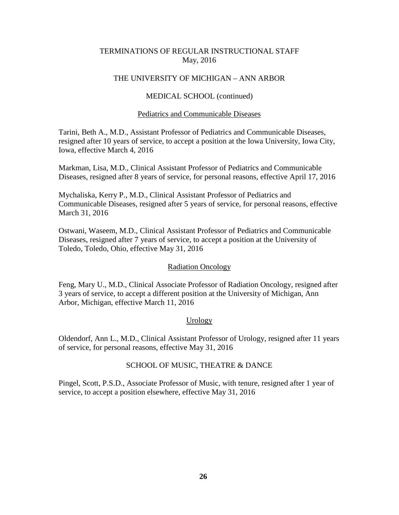# THE UNIVERSITY OF MICHIGAN – ANN ARBOR

### MEDICAL SCHOOL (continued)

#### Pediatrics and Communicable Diseases

Tarini, Beth A., M.D., Assistant Professor of Pediatrics and Communicable Diseases, resigned after 10 years of service, to accept a position at the Iowa University, Iowa City, Iowa, effective March 4, 2016

Markman, Lisa, M.D., Clinical Assistant Professor of Pediatrics and Communicable Diseases, resigned after 8 years of service, for personal reasons, effective April 17, 2016

Mychaliska, Kerry P., M.D., Clinical Assistant Professor of Pediatrics and Communicable Diseases, resigned after 5 years of service, for personal reasons, effective March 31, 2016

Ostwani, Waseem, M.D., Clinical Assistant Professor of Pediatrics and Communicable Diseases, resigned after 7 years of service, to accept a position at the University of Toledo, Toledo, Ohio, effective May 31, 2016

#### Radiation Oncology

Feng, Mary U., M.D., Clinical Associate Professor of Radiation Oncology, resigned after 3 years of service, to accept a different position at the University of Michigan, Ann Arbor, Michigan, effective March 11, 2016

# Urology

Oldendorf, Ann L., M.D., Clinical Assistant Professor of Urology, resigned after 11 years of service, for personal reasons, effective May 31, 2016

### SCHOOL OF MUSIC, THEATRE & DANCE

Pingel, Scott, P.S.D., Associate Professor of Music, with tenure, resigned after 1 year of service, to accept a position elsewhere, effective May 31, 2016